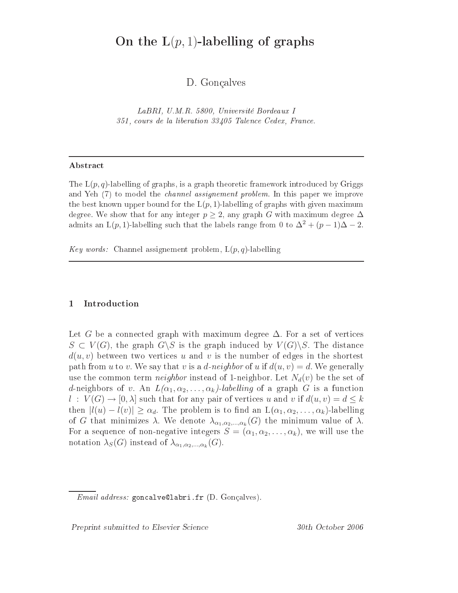# On the  $L(p, 1)$ -labelling of graphs

D. Gonçalves

LaBRI, U.M.R. 5800, Université Bordeaux <sup>I</sup> 351, ours de la liberation <sup>33405</sup> Talen
e Cedex, Fran
e.

#### ${\bf Abstract}$

The  $L(p,q)$ -labelling of graphs, is a graph theoretic framework introduced by Griggs and we have the the model the street the street problem. In this paper we improve the street model in the stre the best known upper bound for the  $\mathrm{L}(p,1)$ -labelling of graphs with given maximum degree. We show that for any integer  $p \geq 2,$  any graph  $G$  with maximum degree  $\Delta$ admits an L(p, 1)-labelling such that the labels range from 0 to  $\Delta^2 + (p-1)\Delta - 2$ .

Key words: Channel assignement problem,  $L(p,q)$ -labelling

### 1 Introdu
tion

Let G be a connected graph with maximum degree  $\Delta$ . For a set of vertices  $S \subset V(G)$ , the graph  $G \backslash S$  is the graph induced by  $V(G) \backslash S$ . The distance  $d(u, v)$  between two vertices u and v is the number of edges in the shortest path from u to v. We say that v is a d-neighbor of u if  $d(u, v) = d$ . We generally use the common term *neighbor* instead of 1-neighbor. Let  $N_d(v)$  be the set of d-neighbors of v. An  $L(\alpha_1, \alpha_2, \ldots, \alpha_k)$ -labelling of a graph G is a function  $l : V(G) \to [0, \lambda]$  such that for any pair of vertices u and v if  $d(u, v) = d \leq k$ then  $|l(u) - l(v)| \ge \alpha_d$ . The problem is to find an  $L(\alpha_1, \alpha_2, \ldots, \alpha_k)$ -labelling of G that minimizes  $\lambda$ . We denote  $\lambda_{\alpha_1,\alpha_2,\dots,\alpha_k}(G)$  the minimum value of  $\lambda$ . For a sequence of non-negative integers  $S = (\alpha_1, \alpha_2, \dots, \alpha_k)$ , we will use the notation  $\lambda_S(G)$  instead of  $\lambda_{\alpha_1,\alpha_2,\dots,\alpha_k}(G)$ .

Email address: gon
alvelabri.fr (D. Gonçalves).

Preprint submitted to Elsevier Science 30th October 2006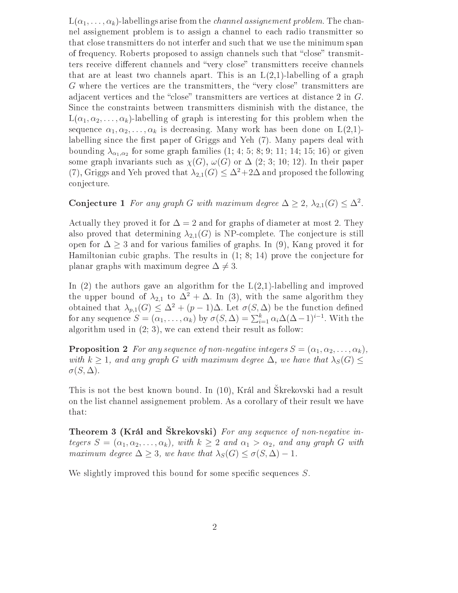$L(\alpha_1, \ldots, \alpha_k)$ -labellings arise from the *channel assignement problem*. The channel assignement problem is to assign a hannel to ea
h radio transmitter so that close transmitters do not interfer and such that we use the minimum span of frequency. Roberts proposed to assign channels such that "close" transmitters receive different channels and "very close" transmitters receive channels that are at least two channels apart. This is an  $L(2,1)$ -labelling of a graph G where the vertices are the transmitters, the "very close" transmitters are adjacent vertices and the "close" transmitters are vertices at distance 2 in G. Sin
e the onstraints between transmitters disminish with the distan
e, the  $L(\alpha_1, \alpha_2, \ldots, \alpha_k)$ -labelling of graph is interesting for this problem when the sequence  $\alpha_1, \alpha_2, \ldots, \alpha_k$  is decreasing. Many work has been done on  $L(2,1)$ labelling since the first paper of Griggs and Yeh (7). Many papers deal with bounding  $\lambda_{\alpha_1,\alpha_2}$  for some graph families  $(1;\,4;\,5;\,8;\,9;\,11;\,14;\,15;\,16)$  or given some graph invariants such as  $\chi(G)$ ,  $\omega(G)$  or  $\Delta$  (2; 3; 10; 12). In their paper (7), Griggs and Yeh proved that  $\lambda_{2,1}(G) \leq \Delta^2 + 2\Delta$  and proposed the following onje
ture.

Conjecture 1 For any graph G with maximum degree  $\Delta \geq 2$ ,  $\lambda_{2,1}(G) \leq \Delta^2$ .

Actually they proved it for  $\Delta = 2$  and for graphs of diameter at most 2. They also proved that determining  $\lambda_{2,1}(G)$  is NP-complete. The conjecture is still open for  $\Delta \geq 3$  and for various families of graphs. In (9), Kang proved it for Hamiltonian cubic graphs. The results in  $(1; 8; 14)$  prove the conjecture for planar graphs with maximum degree  $\Delta \neq 3$ .

In  $(2)$  the authors gave an algorithm for the  $L(2,1)$ -labelling and improved the upper bound of  $\lambda_{2,1}$  to  $\Delta^2 + \Delta$ . In (3), with the same algorithm they obtained that  $\lambda_{p,1}(G) \leq \Delta^2 + (p-1)\Delta$ . Let  $\sigma(S,\Delta)$  be the function defined for any sequence  $S = (\alpha_1, \ldots, \alpha_k)$  by  $\sigma(S, \Delta) = \sum_{i=1}^k \alpha_i \Delta(\Delta - 1)^{i-1}$ . With the algorithm used in  $(2, 3)$ , we can extend their result as follow:

**Proposition 2** For any sequence of non-negative integers  $S = (\alpha_1, \alpha_2, \ldots, \alpha_k)$ , with  $k \geq 1$ , and any graph G with maximum degree  $\Delta$ , we have that  $\lambda_S(G) \leq$  $\sigma(S,\Delta)$ .

This is not the best known bound. In (10), Král and Skrekovski had a result on the list hannel assignement problem. As a orollary of their result we have that:

Theorem 3 (Král and Škrekovski) For any sequence of non-negative integers  $S = (\alpha_1, \alpha_2, \dots, \alpha_k)$ , with  $k \geq 2$  and  $\alpha_1 > \alpha_2$ , and any graph G with maximum degree  $\Delta \geq 3$ , we have that  $\lambda_S(G) \leq \sigma(S, \Delta) - 1$ .

We slightly improved this bound for some specific sequences  $S$ .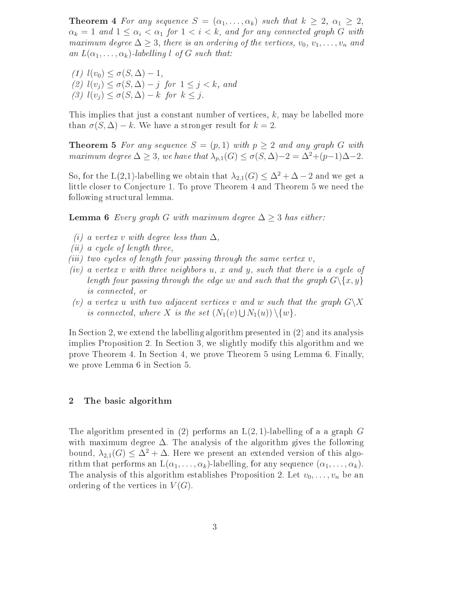**Theorem 4** For any sequence  $S = (\alpha_1, \ldots, \alpha_k)$  such that  $k \geq 2$ ,  $\alpha_1 \geq 2$ ,  $\alpha_k = 1$  and  $1 \leq \alpha_i < \alpha_1$  for  $1 < i < k$ , and for any connected graph G with maximum degree  $\Delta \geq 3$ , there is an ordering of the vertices,  $v_0, v_1, \ldots, v_n$  and an  $L(\alpha_1,\ldots,\alpha_k)$ -labelling l of G such that:

(1)  $l(v_0) \leq \sigma(S, \Delta) - 1$ , (2)  $l(v_i) \leq \sigma(S, \Delta) - j$  for  $1 \leq j \leq k$ , and (3)  $l(v_j) \leq \sigma(S, \Delta) - k$  for  $k \leq j$ .

This implies that just a constant number of vertices,  $k$ , may be labelled more than  $\sigma(S, \Delta) - k$ . We have a stronger result for  $k = 2$ .

**Theorem 5** For any sequence  $S = (p, 1)$  with  $p \ge 2$  and any graph G with maximum degree  $\Delta \geq 3$ , we have that  $\lambda_{p,1}(G) \leq \sigma(S, \Delta)-2 = \Delta^2+(p-1)\Delta-2$ .

So, for the L(2,1)-labelling we obtain that  $\lambda_{2,1}(G) \leq \Delta^2 + \Delta - 2$  and we get a little closer to Conjecture 1. To prove Theorem 4 and Theorem 5 we need the following structural lemma.

**Lemma 6** Every graph G with maximum degree  $\Delta \geq 3$  has either:

- (i) a vertex v with degree less than  $\Delta$ ,
- (*ii*) a cycle of length three,
- (iii) two cycles of length four passing through the same vertex  $v$ ,
- (iv) a vertex v with three neighbors  $u, x$  and  $y$ , such that there is a cycle of length four passing through the edge uv and such that the graph  $G \setminus \{x, y\}$ is onne
ted, or
- (v) a vertex u with two adjacent vertices v and w such that the graph  $G\backslash X$ is connected, where X is the set  $(N_1(v) \cup N_1(u)) \setminus \{w\}.$

In Section 2, we extend the labelling algorithm presented in (2) and its analysis implies Proposition 2. In Section 3, we slightly modify this algorithm and we prove Theorem 4. In Se
tion 4, we prove Theorem 5 using Lemma 6. Finally, we prove Lemma 6 in Section 5.

### 2 The basi algorithm

The algorithm presented in (2) performs an  $L(2, 1)$ -labelling of a a graph G with maximum degree  $\Delta$ . The analysis of the algorithm gives the following bound,  $\lambda_{2,1}(G) \leq \Delta^2 + \Delta$ . Here we present an extended version of this algorithm that performs an  $L(\alpha_1, \ldots, \alpha_k)$ -labelling, for any sequence  $(\alpha_1, \ldots, \alpha_k)$ . The analysis of this algorithm establishes Proposition 2. Let  $v_0, \ldots, v_n$  be an ordering of the vertices in  $V(G)$ .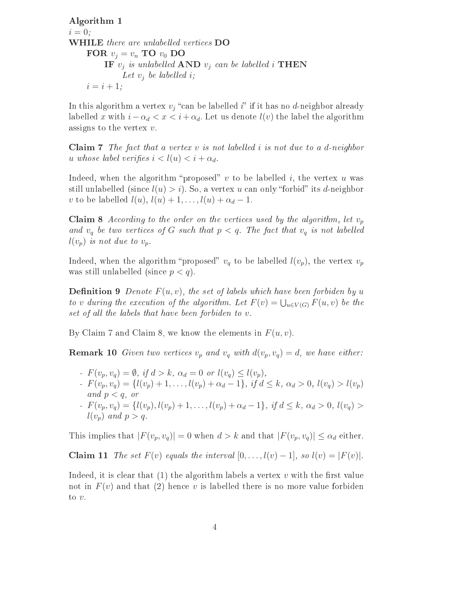Algorithm 1  $i = 0$ : WHILE there are unlabelled vertices DO FOR  $v_i = v_n$  TO  $v_0$  DO IF  $v_j$  is unlabelled AND  $v_j$  can be labelled i THEN Let  $v_i$  be labelled i;  $i = i + 1;$ 

In this algorithm a vertex  $v_j$  "can be labelled i" if it has no d-neighbor already labelled x with  $i - \alpha_d < x < i + \alpha_d$ . Let us denote  $l(v)$  the label the algorithm assigns to the vertex  $v$ .

**Claim 7** The fact that a vertex  $v$  is not labelled  $i$  is not due to a d-neighbor u whose label verifies  $i < l(u) < i + \alpha_d$ .

Indeed, when the algorithm "proposed"  $v$  to be labelled  $i$ , the vertex  $u$  was still unlabelled (since  $l(u) > i$ ). So, a vertex u can only "forbid" its d-neighbor v to be labelled  $l(u)$ ,  $l(u) + 1, \ldots, l(u) + \alpha_d - 1$ .

**Claim 8** According to the order on the vertices used by the algorithm, let  $v_p$ and  $v_q$  be two vertices of G such that  $p < q$ . The fact that  $v_q$  is not labelled  $l(v_p)$  is not due to  $v_p$ .

Indeed, when the algorithm "proposed"  $v_q$  to be labelled  $l(v_p)$ , the vertex  $v_p$ was still unlabelled (since  $p < q$ ).

**Definition 9** Denote  $F(u, v)$ , the set of labels which have been forbiden by u to v during the execution of the algorithm. Let  $F(v) = \bigcup_{u \in V(G)} F(u, v)$  be the set of all the labels that have been forbiden to  $v$ .

By Claim 7 and Claim 8, we know the elements in  $F(u, v)$ .

**Remark 10** Given two vertices  $v_p$  and  $v_q$  with  $d(v_p, v_q) = d$ , we have either:

- $-F(v_p, v_q) = \emptyset$ , if  $d > k$ ,  $\alpha_d = 0$  or  $l(v_q) \leq l(v_p)$ ,
- $F(v_p, v_q) = \{l(v_p) + 1, \ldots, l(v_p) + \alpha_d 1\}, \text{ if } d \leq k, \alpha_d > 0, l(v_q) > l(v_p)$ and  $p < q$ , or
- $F(v_p, v_q) = \{l(v_p), l(v_p) + 1, \ldots, l(v_p) + \alpha_d 1\}, \text{ if } d \leq k, \alpha_d > 0, l(v_q) >$  $l(v_p)$  and  $p > q$ .

This implies that  $|F(v_p, v_q)| = 0$  when  $d > k$  and that  $|F(v_p, v_q)| \leq \alpha_d$  either.

Claim 11 The set  $F(v)$  equals the interval  $[0, \ldots, l(v) - 1]$ , so  $l(v) = |F(v)|$ .

Indeed, it is clear that  $(1)$  the algorithm labels a vertex v with the first value not in  $F(v)$  and that (2) hence v is labelled there is no more value forbiden to v.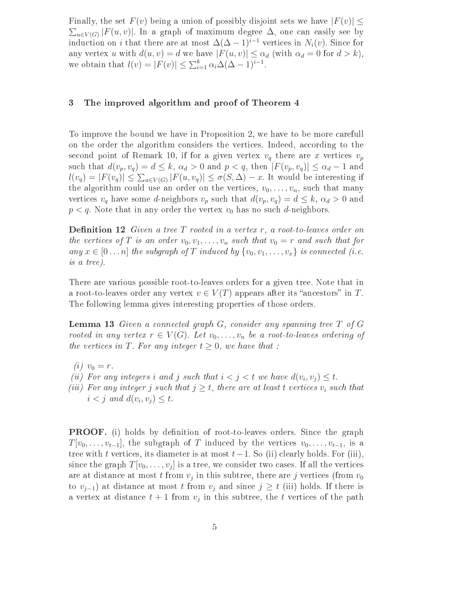Finally, the set  $F(v)$  being a union of possibly disjoint sets we have  $|F(v)| \leq$  $\sum_{u\in V(G)} |F(u,v)|.$  In a graph of maximum degree  $\Delta$ , one can easily see by induction on *i* that there are at most  $\Delta(\Delta - 1)^{i-1}$  vertices in  $N_i(v)$ . Since for any vertex u with  $d(u, v) = d$  we have  $|F(u, v)| \leq \alpha_d$  (with  $\alpha_d = 0$  for  $d > k$ ), we obtain that  $l(v) = |F(v)| \le \sum_{i=1}^{k} \alpha_i \Delta(\Delta - 1)^{i-1}$ .

### 3 The improved algorithm and proof of Theorem 4

To improve the bound we have in Proposition 2, we have to be more arefull on the order the algorithm considers the vertices. Indeed, according to the second point of Remark 10, if for a given vertex  $v_q$  there are x vertices  $v_p$ such that  $d(v_p, v_q) = d \leq k$ ,  $\alpha_d > 0$  and  $p < q$ , then  $|F(v_p, v_q)| \leq \alpha_d - 1$  and  $l(v_q) = |F(v_q)| \leq \sum_{u \in V(G)} |F(u, v_q)| \leq \sigma(S, \Delta) - x$ . It would be interesting if the algorithm could use an order on the vertices,  $v_0, \ldots, v_n$ , such that many vertices  $v_q$  have some d-neighbors  $v_p$  such that  $d(v_p, v_q) = d \leq k$ ,  $\alpha_d > 0$  and  $p < q$ . Note that in any order the vertex  $v_0$  has no such d-neighbors.

**Definition 12** Given a tree  $T$  rooted in a vertex  $r$ , a root-to-leaves order on the vertices of T is an order  $v_0, v_1, \ldots, v_n$  such that  $v_0 = r$  and such that for any  $x \in [0 \dots n]$  the subgraph of T induced by  $\{v_0, v_1, \dots, v_x\}$  is connected (i.e. is a tree).

There are various possible root-to-leaves orders for a given tree. Note that in a root-to-leaves order any vertex  $v \in V(T)$  appears after its "ancestors" in T. The following lemma gives interesting properties of those orders.

**Lemma 13** Given a connected graph  $G$ , consider any spanning tree  $T$  of  $G$ rooted in any vertex  $r \in V(G)$ . Let  $v_0, \ldots, v_n$  be a root-to-leaves ordering of the vertices in T. For any integer  $t \geq 0$ , we have that :

- (*i*)  $v_0 = r$ .
- (ii) For any integers i and j such that  $i < j < t$  we have  $d(v_i, v_j) \leq t$ .
- (iii) For any integer j such that  $j \geq t$ , there are at least t vertices  $v_i$  such that  $i < j$  and  $d(v_i, v_j) \leq t$ .

**PROOF.** (i) holds by definition of root-to-leaves orders. Since the graph  $T[v_0, \ldots, v_{t-1}]$ , the subgraph of T induced by the vertices  $v_0, \ldots, v_{t-1}$ , is a tree with t vertices, its diameter is at most  $t-1$ . So (ii) clearly holds. For (iii), since the graph  $T[v_0, \ldots, v_j]$  is a tree, we consider two cases. If all the vertices are at distance at most  $t$  from  $v_j$  in this subtree, there are  $j$  vertices (from  $v_0$ to  $v_{i-1}$ ) at distance at most t from  $v_i$  and since  $j \geq t$  (iii) holds. If there is a vertex at distance  $t+1$  from  $v_j$  in this subtree, the t vertices of the path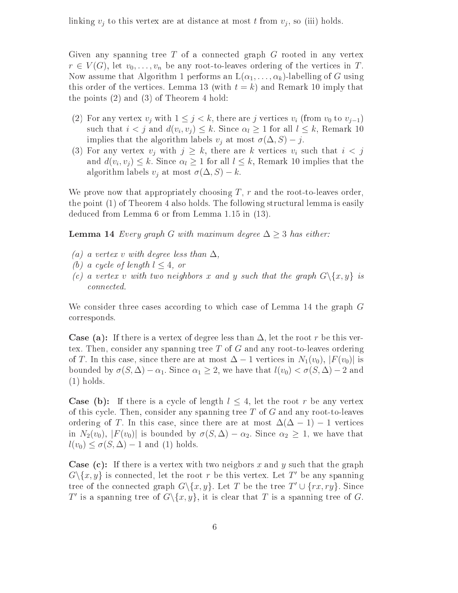linking  $v_j$  to this vertex are at distance at most t from  $v_j$ , so (iii) holds.

Given any spanning tree  $T$  of a connected graph  $G$  rooted in any vertex  $r \in V(G)$ , let  $v_0, \ldots, v_n$  be any root-to-leaves ordering of the vertices in T. Now assume that Algorithm 1 performs an  $L(\alpha_1, \ldots, \alpha_k)$ -labelling of G using this order of the vertices. Lemma 13 (with  $t = k$ ) and Remark 10 imply that the points (2) and (3) of Theorem 4 hold:

- (2) For any vertex  $v_j$  with  $1 \leq j < k$ , there are j vertices  $v_i$  (from  $v_0$  to  $v_{j-1}$ ) such that  $i < j$  and  $d(v_i, v_j) \leq k$ . Since  $\alpha_l \geq 1$  for all  $l \leq k$ , Remark 10 implies that the algorithm labels  $v_j$  at most  $\sigma(\Delta, S) - j$ .
- (3) For any vertex  $v_j$  with  $j \geq k$ , there are k vertices  $v_i$  such that  $i < j$ and  $d(v_i, v_j) \leq k$ . Since  $\alpha_l \geq 1$  for all  $l \leq k$ , Remark 10 implies that the algorithm labels  $v_j$  at most  $\sigma(\Delta, S) - k$ .

We prove now that appropriately choosing  $T$ ,  $r$  and the root-to-leaves order, the point  $(1)$  of Theorem 4 also holds. The following structural lemma is easily dedu
ed from Lemma 6 or from Lemma 1.15 in (13).

**Lemma 14** Every graph G with maximum degree  $\Delta \geq 3$  has either:

- (a) a vertex v with degree less than  $\Delta$ ,
- (b) a cycle of length  $l \leq 4$ , or
- (c) a vertex v with two neighbors x and y such that the graph  $G \setminus \{x, y\}$  is onne
ted.

We consider three cases according to which case of Lemma 14 the graph  $G$ orresponds.

**Case (a):** If there is a vertex of degree less than  $\Delta$ , let the root r be this vertex. Then, consider any spanning tree  $T$  of  $G$  and any root-to-leaves ordering of T. In this case, since there are at most  $\Delta - 1$  vertices in  $N_1(v_0)$ ,  $|F(v_0)|$  is bounded by  $\sigma(S, \Delta) - \alpha_1$ . Since  $\alpha_1 \geq 2$ , we have that  $l(v_0) < \sigma(S, \Delta) - 2$  and (1) holds.

**Case (b):** If there is a cycle of length  $l \leq 4$ , let the root r be any vertex of this cycle. Then, consider any spanning tree  $T$  of  $G$  and any root-to-leaves ordering of T. In this case, since there are at most  $\Delta(\Delta - 1) - 1$  vertices in  $N_2(v_0)$ ,  $|F(v_0)|$  is bounded by  $\sigma(S,\Delta) - \alpha_2$ . Since  $\alpha_2 \geq 1$ , we have that  $l(v_0) \leq \sigma(S, \Delta) - 1$  and (1) holds.

**Case (c):** If there is a vertex with two neigbors x and y such that the graph  $G \setminus \{x, y\}$  is connected, let the root r be this vertex. Let T' be any spanning tree of the connected graph  $G \setminus \{x, y\}$ . Let T be the tree  $T' \cup \{rx, ry\}$ . Since T' is a spanning tree of  $G \setminus \{x, y\}$ , it is clear that T is a spanning tree of G.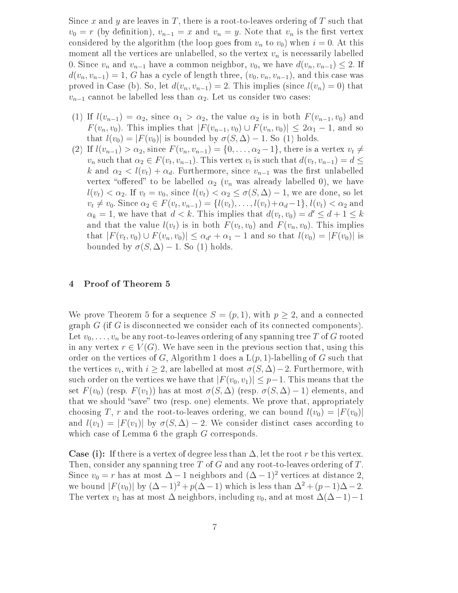Since x and y are leaves in T, there is a root-to-leaves ordering of T such that  $v_0 = r$  (by definition),  $v_{n-1} = x$  and  $v_n = y$ . Note that  $v_n$  is the first vertex considered by the algorithm (the loop goes from  $v_n$  to  $v_0$ ) when  $i = 0$ . At this moment all the vertices are unlabelled, so the vertex  $v_n$  is necessarily labelled 0. Since  $v_n$  and  $v_{n-1}$  have a common neighbor,  $v_0$ , we have  $d(v_n, v_{n-1}) \leq 2$ . If  $d(v_n, v_{n-1}) = 1$ , G has a cycle of length three,  $(v_0, v_n, v_{n-1})$ , and this case was proved in Case (b). So, let  $d(v_n, v_{n-1}) = 2$ . This implies (since  $l(v_n) = 0$ ) that  $v_{n-1}$  cannot be labelled less than  $\alpha_2$ . Let us consider two cases:

- (1) If  $l(v_{n-1}) = \alpha_2$ , since  $\alpha_1 > \alpha_2$ , the value  $\alpha_2$  is in both  $F(v_{n-1}, v_0)$  and  $F(v_n, v_0)$ . This implies that  $|F(v_{n-1}, v_0) \cup F(v_n, v_0)| \leq 2\alpha_1 - 1$ , and so that  $l(v_0) = |F(v_0)|$  is bounded by  $\sigma(S, \Delta) - 1$ . So (1) holds.
- (2) If  $l(v_{n-1}) > \alpha_2$ , since  $F(v_n, v_{n-1}) = \{0, \ldots, \alpha_2 1\}$ , there is a vertex  $v_t \neq$  $v_n$  such that  $\alpha_2 \in F(v_t, v_{n-1})$ . This vertex  $v_t$  is such that  $d(v_t, v_{n-1}) = d \le$ k and  $\alpha_2 < l(v_t) + \alpha_d$ . Furthermore, since  $v_{n-1}$  was the first unlabelled vertex "offered" to be labelled  $\alpha_2$  ( $v_n$  was already labelled 0), we have  $l(v_t) < \alpha_2$ . If  $v_t = v_0$ , since  $l(v_t) < \alpha_2 \le \sigma(S, \Delta) - 1$ , we are done, so let  $v_t \neq v_0$ . Since  $\alpha_2 \in F(v_t, v_{n-1}) = \{l(v_t), \dots, l(v_t) + \alpha_d - 1\}, l(v_t) < \alpha_2$  and  $\alpha_k = 1$ , we have that  $d < k$ . This implies that  $d(v_t, v_0) = d' \leq d + 1 \leq k$ and that the value  $l(v_t)$  is in both  $F(v_t, v_0)$  and  $F(v_n, v_0)$ . This implies that  $|F(v_t, v_0) \cup F(v_n, v_0)| \le \alpha_{d'} + \alpha_1 - 1$  and so that  $l(v_0) = |F(v_0)|$  is bounded by  $\sigma(S, \Delta) - 1$ . So (1) holds.

#### 4 Proof of Theorem 5

We prove Theorem 5 for a sequence  $S = (p, 1)$ , with  $p \geq 2$ , and a connected  $graph G$  (if G is disconnected we consider each of its connected components). Let  $v_0, \ldots, v_n$  be any root-to-leaves ordering of any spanning tree T of G rooted in any vertex  $r \in V(G)$ . We have seen in the previous section that, using this order on the vertices of G, Algorithm 1 does a  $L(p, 1)$ -labelling of G such that the vertices  $v_i$ , with  $i \geq 2$ , are labelled at most  $\sigma(S, \Delta) - 2$ . Furthermore, with such order on the vertices we have that  $|F(v_0, v_1)| \leq p-1$ . This means that the set  $F(v_0)$  (resp.  $F(v_1)$ ) has at most  $\sigma(S, \Delta)$  (resp.  $\sigma(S, \Delta) - 1$ ) elements, and that we should "save" two (resp. one) elements. We prove that, appropriately choosing T, r and the root-to-leaves ordering, we can bound  $l(v_0) = |F(v_0)|$ and  $l(v_1) = |F(v_1)|$  by  $\sigma(S, \Delta) - 2$ . We consider distinct cases according to which case of Lemma 6 the graph G corresponds.

**Case (i):** If there is a vertex of degree less than  $\Delta$ , let the root r be this vertex. Then, consider any spanning tree  $T$  of  $G$  and any root-to-leaves ordering of  $T$ . Since  $v_0 = r$  has at most  $\Delta - 1$  neighbors and  $(\Delta - 1)^2$  vertices at distance 2, we bound  $|F(v_0)|$  by  $(\Delta - 1)^2 + p(\Delta - 1)$  which is less than  $\Delta^2 + (p-1)\Delta - 2$ . The vertex  $v_1$  has at most  $\Delta$  neighbors, including  $v_0$ , and at most  $\Delta(\Delta-1)-1$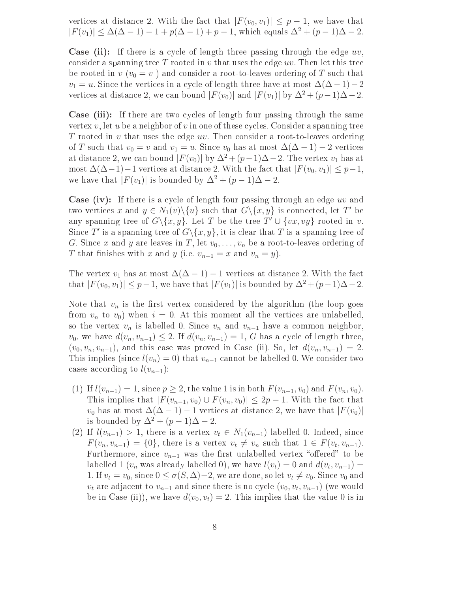vertices at distance 2. With the fact that  $|F(v_0, v_1)| \leq p-1$ , we have that  $|F(v_1)| \leq \Delta(\Delta - 1) - 1 + p(\Delta - 1) + p - 1$ , which equals  $\Delta^2 + (p - 1)\Delta - 2$ .

**Case (ii):** If there is a cycle of length three passing through the edge  $uv$ , consider a spanning tree T rooted in v that uses the edge  $uv$ . Then let this tree be rooted in  $v(v_0 = v)$  and consider a root-to-leaves ordering of T such that  $v_1 = u$ . Since the vertices in a cycle of length three have at most  $\Delta(\Delta - 1) - 2$ vertices at distance 2, we can bound  $|F(v_0)|$  and  $|F(v_1)|$  by  $\Delta^2 + (p-1)\Delta - 2$ .

Case (iii): If there are two cycles of length four passing through the same vertex  $v$ , let  $u$  be a neighbor of  $v$  in one of these cycles. Consider a spanning tree T rooted in v that uses the edge  $uv$ . Then consider a root-to-leaves ordering of T such that  $v_0 = v$  and  $v_1 = u$ . Since  $v_0$  has at most  $\Delta(\Delta - 1) - 2$  vertices at distance 2, we can bound  $|F(v_0)|$  by  $\Delta^2 + (p-1)\Delta - 2$ . The vertex  $v_1$  has at most  $\Delta(\Delta-1)-1$  vertices at distance 2. With the fact that  $|F(v_0, v_1)| \leq p-1$ , we have that  $|F(v_1)|$  is bounded by  $\Delta^2 + (p-1)\Delta - 2$ .

**Case (iv):** If there is a cycle of length four passing through an edge  $uv$  and two vertices x and  $y \in N_1(v) \setminus \{u\}$  such that  $G \setminus \{x, y\}$  is connected, let T' be any spanning tree of  $G \setminus \{x, y\}$ . Let T be the tree  $T' \cup \{vx, vy\}$  rooted in v. Since T' is a spanning tree of  $G \setminus \{x, y\}$ , it is clear that T is a spanning tree of G. Since x and y are leaves in T, let  $v_0, \ldots, v_n$  be a root-to-leaves ordering of T that finishes with x and y (i.e.  $v_{n-1} = x$  and  $v_n = y$ ).

The vertex  $v_1$  has at most  $\Delta(\Delta - 1) - 1$  vertices at distance 2. With the fact that  $|F(v_0, v_1)| \leq p-1$ , we have that  $|F(v_1)|$  is bounded by  $\Delta^2 + (p-1)\Delta - 2$ .

Note that  $v_n$  is the first vertex considered by the algorithm (the loop goes from  $v_n$  to  $v_0$ ) when  $i = 0$ . At this moment all the vertices are unlabelled, so the vertex  $v_n$  is labelled 0. Since  $v_n$  and  $v_{n-1}$  have a common neighbor,  $v_0$ , we have  $d(v_n, v_{n-1}) \leq 2$ . If  $d(v_n, v_{n-1}) = 1$ , G has a cycle of length three,  $(v_0, v_n, v_{n-1})$ , and this case was proved in Case (ii). So, let  $d(v_n, v_{n-1}) = 2$ . This implies (since  $l(v_n) = 0$ ) that  $v_{n-1}$  cannot be labelled 0. We consider two cases according to  $l(v_{n-1})$ :

- (1) If  $l(v_{n-1}) = 1$ , since  $p \geq 2$ , the value 1 is in both  $F(v_{n-1}, v_0)$  and  $F(v_n, v_0)$ . This implies that  $|F(v_{n-1}, v_0) \cup F(v_n, v_0)| \leq 2p - 1$ . With the fact that  $v_0$  has at most  $\Delta(\Delta - 1) - 1$  vertices at distance 2, we have that  $|F(v_0)|$ is bounded by  $\Delta^2 + (p-1)\Delta - 2$ .
- (2) If  $l(v_{n-1}) > 1$ , there is a vertex  $v_t \in N_1(v_{n-1})$  labelled 0. Indeed, since  $F(v_n, v_{n-1}) = \{0\}$ , there is a vertex  $v_t \neq v_n$  such that  $1 \in F(v_t, v_{n-1})$ . Furthermore, since  $v_{n-1}$  was the first unlabelled vertex "offered" to be labelled 1 ( $v_n$  was already labelled 0), we have  $l(v_t) = 0$  and  $d(v_t, v_{n-1}) =$ 1. If  $v_t = v_0$ , since  $0 \le \sigma(S, \Delta) - 2$ , we are done, so let  $v_t \ne v_0$ . Since  $v_0$  and  $v_t$  are adjacent to  $v_{n-1}$  and since there is no cycle  $(v_0, v_t, v_{n-1})$  (we would be in Case (ii)), we have  $d(v_0, v_t) = 2$ . This implies that the value 0 is in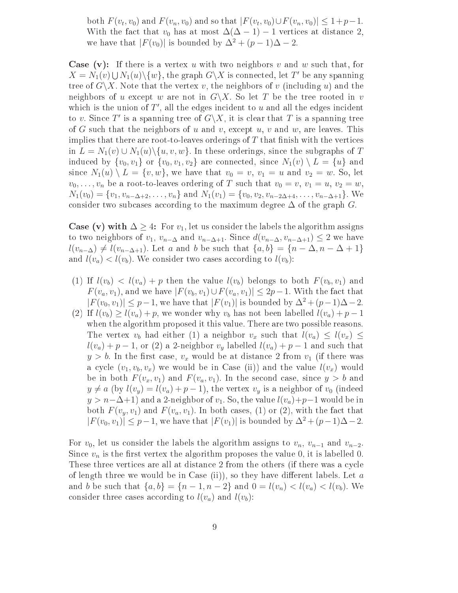both  $F(v_t, v_0)$  and  $F(v_n, v_0)$  and so that  $|F(v_t, v_0) \cup F(v_n, v_0)| \leq 1 + p - 1$ . With the fact that  $v_0$  has at most  $\Delta(\Delta - 1) - 1$  vertices at distance 2, we have that  $|F(v_0)|$  is bounded by  $\Delta^2 + (p-1)\Delta - 2$ .

**Case** (v): If there is a vertex u with two neighbors v and w such that, for  $X = N_1(v) \cup N_1(u) \setminus \{w\}$ , the graph  $G \setminus X$  is connected, let T' be any spanning tree of  $G\backslash X$ . Note that the vertex v, the neighbors of v (including u) and the neighbors of u except w are not in  $G\backslash X$ . So let T be the tree rooted in v which is the union of  $T'$ , all the edges incident to  $u$  and all the edges incident to v. Since T' is a spanning tree of  $G\backslash X$ , it is clear that T is a spanning tree of G such that the neighbors of u and v, except u, v and w, are leaves. This implies that there are root-to-leaves orderings of  $T$  that finish with the vertices in  $L = N_1(v) \cup N_1(u) \setminus \{u, v, w\}$ . In these orderings, since the subgraphs of T induced by  $\{v_0, v_1\}$  or  $\{v_0, v_1, v_2\}$  are connected, since  $N_1(v) \setminus L = \{u\}$  and since  $N_1(u) \setminus L = \{v, w\}$ , we have that  $v_0 = v$ ,  $v_1 = u$  and  $v_2 = w$ . So, let  $v_0, \ldots, v_n$  be a root-to-leaves ordering of T such that  $v_0 = v, v_1 = u, v_2 = w$ ,  $N_1(v_0) = \{v_1, v_{n-\Delta+2}, \ldots, v_n\}$  and  $N_1(v_1) = \{v_0, v_2, v_{n-2\Delta+4}, \ldots, v_{n-\Delta+1}\}.$  We consider two subcases according to the maximum degree  $\Delta$  of the graph G.

**Case (v) with**  $\Delta \geq 4$ : For  $v_1$ , let us consider the labels the algorithm assigns to two neighbors of  $v_1, v_{n-\Delta}$  and  $v_{n-\Delta+1}$ . Since  $d(v_{n-\Delta}, v_{n-\Delta+1}) \leq 2$  we have  $l(v_{n-\Delta}) \neq l(v_{n-\Delta+1})$ . Let a and b be such that  $\{a,b\} = \{n-\Delta, n-\Delta+1\}$ and  $l(v_a) < l(v_b)$ . We consider two cases according to  $l(v_b)$ :

- (1) If  $l(v_b) < l(v_a) + p$  then the value  $l(v_b)$  belongs to both  $F(v_b, v_1)$  and  $F(v_a, v_1)$ , and we have  $|F(v_b, v_1) \cup F(v_a, v_1)| \leq 2p-1$ . With the fact that  $|F(v_0, v_1)| \leq p-1$ , we have that  $|F(v_1)|$  is bounded by  $\Delta^2 + (p-1)\Delta - 2$ .
- (2) If  $l(v_b) \geq l(v_a) + p$ , we wonder why  $v_b$  has not been labelled  $l(v_a) + p 1$ when the algorithm proposed it this value. There are two possible reasons. The vertex  $v_b$  had either (1) a neighbor  $v_x$  such that  $l(v_a) \leq l(v_x) \leq$  $l(v_a) + p - 1$ , or (2) a 2-neighbor  $v_y$  labelled  $l(v_a) + p - 1$  and such that  $y > b$ . In the first case,  $v_x$  would be at distance 2 from  $v_1$  (if there was a cycle  $(v_1, v_b, v_x)$  we would be in Case (ii)) and the value  $l(v_x)$  would be in both  $F(v_x, v_1)$  and  $F(v_a, v_1)$ . In the second case, since  $y > b$  and  $y \neq a$  (by  $l(v_y) = l(v_a) + p - 1$ ), the vertex  $v_y$  is a neighbor of  $v_0$  (indeed  $y > n-\Delta+1$ ) and a 2-neighbor of  $v_1$ . So, the value  $l(v_a)+p-1$  would be in both  $F(v_y, v_1)$  and  $F(v_a, v_1)$ . In both cases, (1) or (2), with the fact that  $|F(v_0, v_1)| \leq p-1$ , we have that  $|F(v_1)|$  is bounded by  $\Delta^2 + (p-1)\Delta - 2$ .

For  $v_0$ , let us consider the labels the algorithm assigns to  $v_n$ ,  $v_{n-1}$  and  $v_{n-2}$ . Since  $v_n$  is the first vertex the algorithm proposes the value 0, it is labelled 0. These three vertices are all at distance 2 from the others (if there was a cycle of length three we would be in Case (ii)), so they have different labels. Let a and b be such that  $\{a, b\} = \{n-1, n-2\}$  and  $0 = l(v_n) < l(v_a) < l(v_b)$ . We consider three cases according to  $l(v_a)$  and  $l(v_b)$ :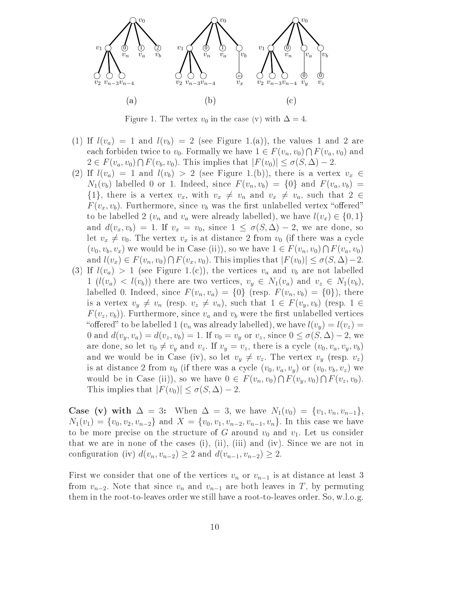

Figure 1. The vertex  $v_0$  in the case (v) with  $\Delta = 4$ .

- (1) If  $l(v_a) = 1$  and  $l(v_b) = 2$  (see Figure 1.(a)), the values 1 and 2 are each forbiden twice to  $v_0$ . Formally we have  $1 \in F(v_n, v_0) \cap F(v_a, v_0)$  and  $2 \in F(v_a, v_0) \cap F(v_b, v_0)$ . This implies that  $|F(v_0)| \le \sigma(S, \Delta) - 2$ .
- (2) If  $l(v_a) = 1$  and  $l(v_b) > 2$  (see Figure 1.(b)), there is a vertex  $v_x \in$  $N_1(v_b)$  labelled 0 or 1. Indeed, since  $F(v_n, v_b) = \{0\}$  and  $F(v_a, v_b) =$  $\{1\}$ , there is a vertex  $v_x$ , with  $v_x \neq v_n$  and  $v_x \neq v_a$ , such that  $2 \in$  $F(v_x, v_b)$ . Furthermore, since  $v_b$  was the first unlabelled vertex "offered" to be labelled 2 ( $v_n$  and  $v_a$  were already labelled), we have  $l(v_x) \in \{0, 1\}$ and  $d(v_x, v_b) = 1$ . If  $v_x = v_0$ , since  $1 \le \sigma(S, \Delta) - 2$ , we are done, so let  $v_x \neq v_0$ . The vertex  $v_x$  is at distance 2 from  $v_0$  (if there was a cycle  $(v_0, v_b, v_x)$  we would be in Case (ii)), so we have  $1 \in F(v_n, v_0) \cap F(v_a, v_0)$ and  $l(v_x) \in F(v_n, v_0) \cap F(v_x, v_0)$ . This implies that  $|F(v_0)| \le \sigma(S, \Delta) - 2$ .
- (3) If  $l(v_a) > 1$  (see Figure 1.(c)), the vertices  $v_a$  and  $v_b$  are not labelled  $1 (l(v_a) < l(v_b))$  there are two vertices,  $v_y \in N_1(v_a)$  and  $v_z \in N_1(v_b)$ , labelled 0. Indeed, since  $F(v_n, v_a) = \{0\}$  (resp.  $F(v_n, v_b) = \{0\}$ ), there is a vertex  $v_y \neq v_n$  (resp.  $v_z \neq v_n$ ), such that  $1 \in F(v_y, v_b)$  (resp.  $1 \in$  $F(v_z, v_b)$ . Furthermore, since  $v_a$  and  $v_b$  were the first unlabelled vertices "offered" to be labelled 1 ( $v_n$  was already labelled), we have  $l(v_y) = l(v_z)$ 0 and  $d(v_y, v_a) = d(v_z, v_b) = 1$ . If  $v_0 = v_y$  or  $v_z$ , since  $0 \le \sigma(S, \Delta) - 2$ , we are done, so let  $v_0 \neq v_y$  and  $v_z$ . If  $v_y = v_z$ , there is a cycle  $(v_0, v_a, v_y, v_b)$ and we would be in Case (iv), so let  $v_y \neq v_z$ . The vertex  $v_y$  (resp.  $v_z$ ) is at distance 2 from  $v_0$  (if there was a cycle  $(v_0, v_a, v_y)$  or  $(v_0, v_b, v_z)$  we would be in Case (ii)), so we have  $0 \in F(v_n, v_0) \cap F(v_y, v_0) \cap F(v_z, v_0)$ . This implies that  $|F(v_0)| \le \sigma(S, \Delta) - 2$ .

Case (v) with  $\Delta = 3$ : When  $\Delta = 3$ , we have  $N_1(v_0) = \{v_1, v_n, v_{n-1}\},$  $N_1(v_1) = \{v_0, v_2, v_{n-2}\}\$ and  $X = \{v_0, v_1, v_{n-2}, v_{n-1}, v_n\}$ . In this case we have to be more precise on the structure of G around  $v_0$  and  $v_1$ . Let us consider that we are in none of the cases (i), (ii), (iii) and (iv). Since we are not in configuration (iv)  $d(v_n, v_{n-2}) \geq 2$  and  $d(v_{n-1}, v_{n-2}) \geq 2$ .

First we consider that one of the vertices  $v_n$  or  $v_{n-1}$  is at distance at least 3 from  $v_{n-2}$ . Note that since  $v_n$  and  $v_{n-1}$  are both leaves in T, by permuting them in the root-to-leaves order we still have a root-to-leaves order. So, w.l.o.g.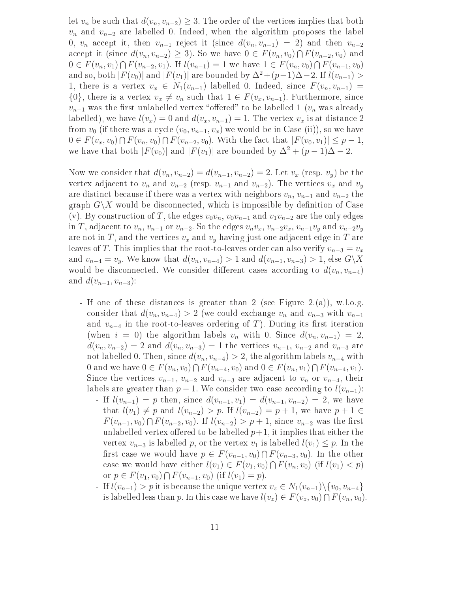let  $v_n$  be such that  $d(v_n, v_{n-2}) \geq 3$ . The order of the vertices implies that both  $v_n$  and  $v_{n-2}$  are labelled 0. Indeed, when the algorithm proposes the label 0,  $v_n$  accept it, then  $v_{n-1}$  reject it (since  $d(v_n, v_{n-1}) = 2$ ) and then  $v_{n-2}$ accept it (since  $d(v_n, v_{n-2}) \geq 3$ ). So we have  $0 \in F(v_n, v_0) \cap F(v_{n-2}, v_0)$  and  $0 \in F(v_n, v_1) \cap F(v_{n-2}, v_1)$ . If  $l(v_{n-1}) = 1$  we have  $1 \in F(v_n, v_0) \cap F(v_{n-1}, v_0)$ and so, both  $|F(v_0)|$  and  $|F(v_1)|$  are bounded by  $\Delta^2+(p-1)\Delta-2$ . If  $l(v_{n-1})$ 1, there is a vertex  $v_x \in N_1(v_{n-1})$  labelled 0. Indeed, since  $F(v_n, v_{n-1}) =$  $\{0\}$ , there is a vertex  $v_x \neq v_n$  such that  $1 \in F(v_x, v_{n-1})$ . Furthermore, since  $v_{n-1}$  was the first unlabelled vertex "offered" to be labelled 1 ( $v_n$  was already labelled), we have  $l(v_x) = 0$  and  $d(v_x, v_{n-1}) = 1$ . The vertex  $v_x$  is at distance 2 from  $v_0$  (if there was a cycle  $(v_0, v_{n-1}, v_x)$  we would be in Case (ii)), so we have  $0 \in F(v_x, v_0) \cap F(v_n, v_0) \cap F(v_{n-2}, v_0)$ . With the fact that  $|F(v_0, v_1)| \leq p-1$ , we have that both  $|F(v_0)|$  and  $|F(v_1)|$  are bounded by  $\Delta^2 + (p-1)\Delta - 2$ .

Now we consider that  $d(v_n, v_{n-2}) = d(v_{n-1}, v_{n-2}) = 2$ . Let  $v_x$  (resp.  $v_y$ ) be the vertex adjacent to  $v_n$  and  $v_{n-2}$  (resp.  $v_{n-1}$  and  $v_{n-2}$ ). The vertices  $v_x$  and  $v_y$ are distinct because if there was a vertex with neighbors  $v_n$ ,  $v_{n-1}$  and  $v_{n-2}$  the graph  $G\setminus X$  would be disconnected, which is impossible by definition of Case (v). By construction of T, the edges  $v_0v_n$ ,  $v_0v_{n-1}$  and  $v_1v_{n-2}$  are the only edges in T, adjacent to  $v_n$ ,  $v_{n-1}$  or  $v_{n-2}$ . So the edges  $v_n v_x$ ,  $v_{n-2} v_x$ ,  $v_{n-1} v_y$  and  $v_{n-2} v_y$ are not in T, and the vertices  $v_x$  and  $v_y$  having just one adjacent edge in T are leaves of T. This implies that the root-to-leaves order can also verify  $v_{n-3} = v_x$ and  $v_{n-4} = v_v$ . We know that  $d(v_n, v_{n-4}) > 1$  and  $d(v_{n-1}, v_{n-3}) > 1$ , else  $G\backslash X$ would be disconnected. We consider different cases according to  $d(v_n, v_{n-4})$ and  $d(v_{n-1}, v_{n-3})$ :

- If one of these distan
es is greater than 2 (see Figure 2.(a)), w.l.o.g. consider that  $d(v_n, v_{n-4}) > 2$  (we could exchange  $v_n$  and  $v_{n-3}$  with  $v_{n-1}$ and  $v_{n-4}$  in the root-to-leaves ordering of T). During its first iteration (when  $i = 0$ ) the algorithm labels  $v_n$  with 0. Since  $d(v_n, v_{n-1}) = 2$ ,  $d(v_n, v_{n-2}) = 2$  and  $d(v_n, v_{n-3}) = 1$  the vertices  $v_{n-1}, v_{n-2}$  and  $v_{n-3}$  are not labelled 0. Then, since  $d(v_n, v_{n-4}) > 2$ , the algorithm labels  $v_{n-4}$  with 0 and we have  $0 \in F(v_n, v_0) \cap F(v_{n-4}, v_0)$  and  $0 \in F(v_n, v_1) \cap F(v_{n-4}, v_1)$ . Since the vertices  $v_{n-1}$ ,  $v_{n-2}$  and  $v_{n-3}$  are adjacent to  $v_n$  or  $v_{n-4}$ , their labels are greater than  $p-1$ . We consider two case according to  $l(v_{n-1})$ :
	- If  $l(v_{n-1}) = p$  then, since  $d(v_{n-1}, v_1) = d(v_{n-1}, v_{n-2}) = 2$ , we have that  $l(v_1) \neq p$  and  $l(v_{n-2}) > p$ . If  $l(v_{n-2}) = p + 1$ , we have  $p + 1 \in$  $F(v_{n-1}, v_0) \cap F(v_{n-2}, v_0)$ . If  $l(v_{n-2}) > p+1$ , since  $v_{n-2}$  was the first unlabelled vertex offered to be labelled  $p+1$ , it implies that either the vertex  $v_{n-3}$  is labelled p, or the vertex  $v_1$  is labelled  $l(v_1) \leq p$ . In the first case we would have  $p \in F(v_{n-1}, v_0) \cap F(v_{n-3}, v_0)$ . In the other case we would have either  $l(v_1) \in F(v_1, v_0) \cap F(v_n, v_0)$  (if  $l(v_1) < p$ ) or  $p \in F(v_1, v_0) \cap F(v_{n-1}, v_0)$  (if  $l(v_1) = p$ ).
	- If  $l(v_{n-1}) > p$  it is because the unique vertex  $v_z \in N_1(v_{n-1}) \setminus \{v_0, v_{n-4}\}\$ is labelled less than p. In this case we have  $l(v_z) \in F(v_z, v_0) \cap F(v_n, v_0)$ .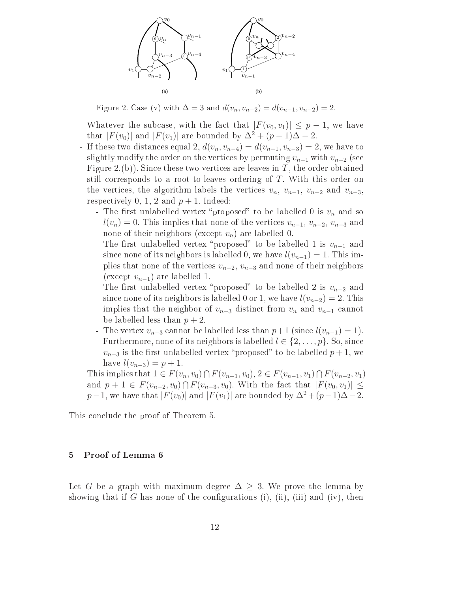

Figure 2. Case (v) with  $\Delta = 3$  and  $d(v_n, v_{n-2}) = d(v_{n-1}, v_{n-2}) = 2$ .

Whatever the subcase, with the fact that  $|F(v_0, v_1)| \leq p-1$ , we have that  $|F(v_0)|$  and  $|F(v_1)|$  are bounded by  $\Delta^2 + (p-1)\Delta - 2$ .

- If these two distances equal 2,  $d(v_n, v_{n-4}) = d(v_{n-1}, v_{n-3}) = 2$ , we have to slightly modify the order on the vertices by permuting  $v_{n-1}$  with  $v_{n-2}$  (see Figure 2.(b)). Since these two vertices are leaves in T, the order obtained still corresponds to a root-to-leaves ordering of  $T$ . With this order on the vertices, the algorithm labels the vertices  $v_n$ ,  $v_{n-1}$ ,  $v_{n-2}$  and  $v_{n-3}$ . respectively 0, 1, 2 and  $p + 1$ . Indeed:
	- The first unlabelled vertex "proposed" to be labelled 0 is  $v_n$  and so  $l(v_n) = 0$ . This implies that none of the vertices  $v_{n-1}, v_{n-2}, v_{n-3}$  and none of their neighbors (except  $v_n$ ) are labelled 0.
	- The first unlabelled vertex "proposed" to be labelled 1 is  $v_{n-1}$  and since none of its neighbors is labelled 0, we have  $l(v_{n-1}) = 1$ . This implies that none of the vertices  $v_{n-2}$ ,  $v_{n-3}$  and none of their neighbors (except  $v_{n-1}$ ) are labelled 1.
	- The first unlabelled vertex "proposed" to be labelled 2 is  $v_{n-2}$  and since none of its neighbors is labelled 0 or 1, we have  $l(v_{n-2}) = 2$ . This implies that the neighbor of  $v_{n-3}$  distinct from  $v_n$  and  $v_{n-1}$  cannot be labelled less than  $p + 2$ .
	- The vertex  $v_{n-3}$  cannot be labelled less than  $p+1$  (since  $l(v_{n-1})=1$ ). Furthermore, none of its neighbors is labelled  $l \in \{2,\ldots,p\}$ . So, since  $v_{n-3}$  is the first unlabelled vertex "proposed" to be labelled  $p + 1$ , we have  $l(v_{n-3}) = p + 1$ .

This implies that  $1 \in F(v_n, v_0) \cap F(v_{n-1}, v_0), 2 \in F(v_{n-1}, v_1) \cap F(v_{n-2}, v_1)$ and  $p + 1 \in F(v_{n-2}, v_0) \cap F(v_{n-3}, v_0)$ . With the fact that  $|F(v_0, v_1)| \le$  $p-1$ , we have that  $|F(v_0)|$  and  $|F(v_1)|$  are bounded by  $\Delta^2 + (p-1)\Delta - 2$ .

This on
lude the proof of Theorem 5.

# 5 Proof of Lemma 6

Let G be a graph with maximum degree  $\Delta \geq 3$ . We prove the lemma by showing that if G has none of the configurations (i), (ii), (iii) and (iv), then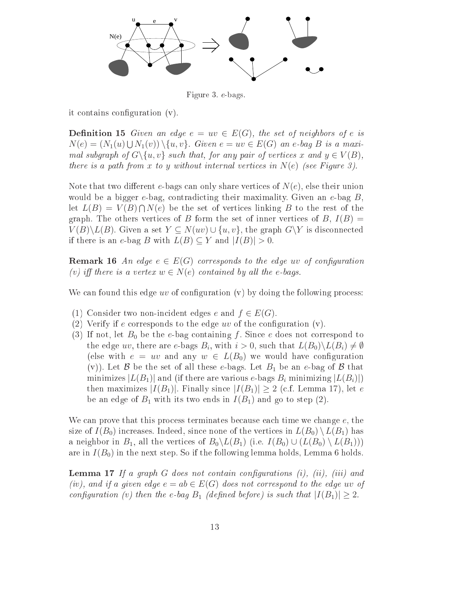

Figure 3. e-bags.

it contains configuration (v).

**Definition 15** Given an edge  $e = uv \in E(G)$ , the set of neighbors of e is  $N(e) = (N_1(u) \cup N_1(v)) \setminus \{u, v\}.$  Given  $e = uv \in E(G)$  an e-bag B is a maximal subgraph of  $G \setminus \{u, v\}$  such that, for any pair of vertices x and  $y \in V(B)$ , there is a path from x to y without internal vertices in  $N(e)$  (see Figure 3).

Note that two different e-bags can only share vertices of  $N(e)$ , else their union would be a bigger e-bag, contradicting their maximality. Given an e-bag  $B$ , let  $L(B) = V(B) \cap N(e)$  be the set of vertices linking B to the rest of the graph. The others vertices of B form the set of inner vertices of B,  $I(B)$  =  $V(B)\backslash L(B)$ . Given a set  $Y\subseteq N(uv)\cup \{u,v\}$ , the graph  $G\backslash Y$  is disconnected if there is an e-bag B with  $L(B) \subset Y$  and  $|I(B)| > 0$ .

**Remark 16** An edge  $e \in E(G)$  corresponds to the edge uv of configuration (v) iff there is a vertex  $w \in N(e)$  contained by all the e-bags.

We can found this edge uv of configuration  $(v)$  by doing the following process:

- (1) Consider two non-incident edges e and  $f \in E(G)$ .
- (2) Verify if e corresponds to the edge  $uv$  of the configuration  $(v)$ .
- (3) If not, let  $B_0$  be the e-bag containing f. Since e does not correspond to the edge uv, there are e-bags  $B_i$ , with  $i > 0$ , such that  $L(B_0) \backslash L(B_i) \neq \emptyset$ (else with  $e = uv$  and any  $w \in L(B_0)$  we would have configuration (v)). Let B be the set of all these e-bags. Let  $B_1$  be an e-bag of B that minimizes  $|L(B_1)|$  and (if there are various e-bags  $B_i$  minimizing  $|L(B_i)|$ ) then maximizes  $|I(B_1)|$ . Finally since  $|I(B_1)| \geq 2$  (c.f. Lemma 17), let e be an edge of  $B_1$  with its two ends in  $I(B_1)$  and go to step (2).

We can prove that this process terminates because each time we change  $e$ , the size of  $I(B_0)$  increases. Indeed, since none of the vertices in  $L(B_0) \setminus L(B_1)$  has a neighbor in  $B_1$ , all the vertices of  $B_0 \backslash L(B_1)$  (i.e.  $I(B_0) \cup (L(B_0) \backslash L(B_1))$ ) are in  $I(B_0)$  in the next step. So if the following lemma holds, Lemma 6 holds.

**Lemma 17** If a graph  $G$  does not contain configurations  $(i)$ ,  $(ii)$ ,  $(iii)$  and (iv), and if a given edge  $e = ab \in E(G)$  does not correspond to the edge uv of configuration (v) then the e-bag  $B_1$  (defined before) is such that  $|I(B_1)| \geq 2$ .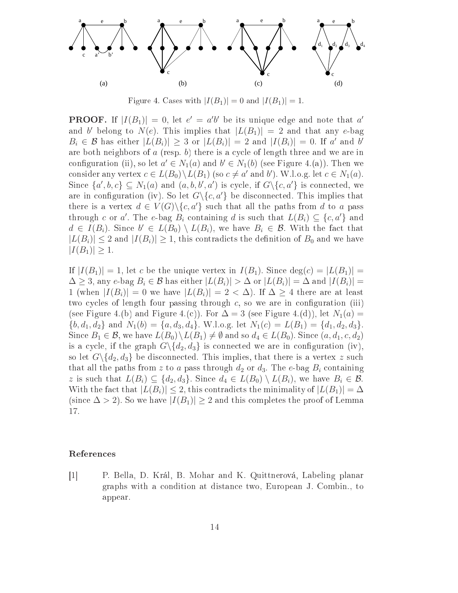

Figure 4. Cases with  $|I(B_1)| = 0$  and  $|I(B_1)| = 1$ .

**PROOF.** If  $|I(B_1)| = 0$ , let  $e' = a'b'$  be its unique edge and note that a' and b belong to  $N(e)$ . This implies that  $|L(B_1)| = 2$  and that any e-bag  $B_i \in \mathcal{B}$  has either  $|L(B_i)| \geq 3$  or  $|L(B_i)| = 2$  and  $|I(B_i)| = 0$ . If a' and b' are both neighbors of  $a$  (resp.  $b$ ) there is a cycle of length three and we are in configuration (ii), so let  $a' \in N_1(a)$  and  $b' \in N_1(b)$  (see Figure 4.(a)). Then we consider any vertex  $c \in L(B_0) \backslash L(B_1)$  (so  $c \neq a'$  and b'). W.l.o.g. let  $c \in N_1(a)$ . Since  $\{a', b, c\} \subseteq N_1(a)$  and  $(a, b, b', a')$  is cycle, if  $G \setminus \{c, a'\}$  is connected, we are in configuration (iv). So let  $G \{c, a'\}$  be disconnected. This implies that there is a vertex  $d \in V(G) \setminus \{c, a'\}$  such that all the paths from d to a pass through c or a'. The e-bag  $B_i$  containing d is such that  $L(B_i) \subseteq \{c, a'\}$  and  $d \in I(B_i)$ . Since  $b' \in L(B_0) \setminus L(B_i)$ , we have  $B_i \in \mathcal{B}$ . With the fact that  $|L(B_i)| \leq 2$  and  $|I(B_i)| \geq 1$ , this contradicts the definition of  $B_0$  and we have  $|I(B_1)| \geq 1.$ 

If  $|I(B_1)| = 1$ , let c be the unique vertex in  $I(B_1)$ . Since  $deg(c) = |L(B_1)| =$  $\Delta \geq 3$ , any e-bag  $B_i \in \mathcal{B}$  has either  $|L(B_i)| > \Delta$  or  $|L(B_i)| = \Delta$  and  $|I(B_i)| =$ 1 (when  $|I(B_i)| = 0$  we have  $|L(B_i)| = 2 < \Delta$ ). If  $\Delta \geq 4$  there are at least two cycles of length four passing through  $c$ , so we are in configuration (iii) (see Figure 4.(b) and Figure 4.(c)). For  $\Delta = 3$  (see Figure 4.(d)), let  $N_1(a) =$  $\{b, d_1, d_2\}$  and  $N_1(b) = \{a, d_3, d_4\}$ . W.l.o.g. let  $N_1(c) = L(B_1) = \{d_1, d_2, d_3\}$ . Since  $B_1 \in \mathcal{B}$ , we have  $L(B_0) \backslash L(B_1) \neq \emptyset$  and so  $d_4 \in L(B_0)$ . Since  $(a, d_1, c, d_2)$ is a cycle, if the graph  $G \setminus \{d_2, d_3\}$  is connected we are in configuration (iv), so let  $G \setminus \{d_2, d_3\}$  be disconnected. This implies, that there is a vertex z such that all the paths from z to a pass through  $d_2$  or  $d_3$ . The e-bag  $B_i$  containing z is such that  $L(B_i) \subseteq \{d_2, d_3\}$ . Since  $d_4 \in L(B_0) \setminus L(B_i)$ , we have  $B_i \in \mathcal{B}$ . With the fact that  $|L(B_i)| \leq 2$ , this contradicts the minimality of  $|L(B_1)| = \Delta$ (since  $\Delta > 2$ ). So we have  $|I(B_1)| \geq 2$  and this completes the proof of Lemma 17.

# Referen
es

[1] P. Bella, D. Král, B. Mohar and K. Quittnerová, Labeling planar graphs with a ondition at distan
e two, European J. Combin., to appear.